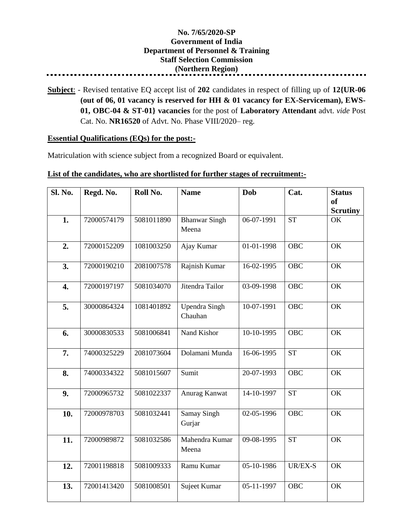## **No. 7/65/2020-SP Government of India Department of Personnel & Training Staff Selection Commission (Northern Region)**

**Subject**: - Revised tentative EQ accept list of **202** candidates in respect of filling up of **12{UR-06 (out of 06, 01 vacancy is reserved for HH & 01 vacancy for EX-Serviceman), EWS-01, OBC-04 & ST-01} vacancies** for the post of **Laboratory Attendant** advt. *vide* Post Cat. No. **NR16520** of Advt. No. Phase VIII/2020– reg.

## **Essential Qualifications (EQs) for the post:-**

Matriculation with science subject from a recognized Board or equivalent.

## **List of the candidates, who are shortlisted for further stages of recruitment:-**

| Sl. No.          | Regd. No.   | Roll No.   | <b>Name</b>                     | Dob        | Cat.       | <b>Status</b><br><b>of</b><br><b>Scrutiny</b> |
|------------------|-------------|------------|---------------------------------|------------|------------|-----------------------------------------------|
| 1.               | 72000574179 | 5081011890 | <b>Bhanwar Singh</b><br>Meena   | 06-07-1991 | <b>ST</b>  | OK                                            |
| 2.               | 72000152209 | 1081003250 | Ajay Kumar                      | 01-01-1998 | <b>OBC</b> | OK                                            |
| 3.               | 72000190210 | 2081007578 | Rajnish Kumar                   | 16-02-1995 | <b>OBC</b> | OK                                            |
| $\overline{4}$ . | 72000197197 | 5081034070 | Jitendra Tailor                 | 03-09-1998 | <b>OBC</b> | OK                                            |
| 5.               | 30000864324 | 1081401892 | <b>Upendra Singh</b><br>Chauhan | 10-07-1991 | <b>OBC</b> | OK                                            |
| 6.               | 30000830533 | 5081006841 | Nand Kishor                     | 10-10-1995 | <b>OBC</b> | OK                                            |
| 7.               | 74000325229 | 2081073604 | Dolamani Munda                  | 16-06-1995 | <b>ST</b>  | OK                                            |
| 8.               | 74000334322 | 5081015607 | Sumit                           | 20-07-1993 | <b>OBC</b> | OK                                            |
| 9.               | 72000965732 | 5081022337 | Anurag Kanwat                   | 14-10-1997 | <b>ST</b>  | OK                                            |
| 10.              | 72000978703 | 5081032441 | <b>Samay Singh</b><br>Gurjar    | 02-05-1996 | <b>OBC</b> | OK                                            |
| 11.              | 72000989872 | 5081032586 | Mahendra Kumar<br>Meena         | 09-08-1995 | <b>ST</b>  | OK                                            |
| 12.              | 72001198818 | 5081009333 | Ramu Kumar                      | 05-10-1986 | UR/EX-S    | OK                                            |
| 13.              | 72001413420 | 5081008501 | Sujeet Kumar                    | 05-11-1997 | <b>OBC</b> | OK                                            |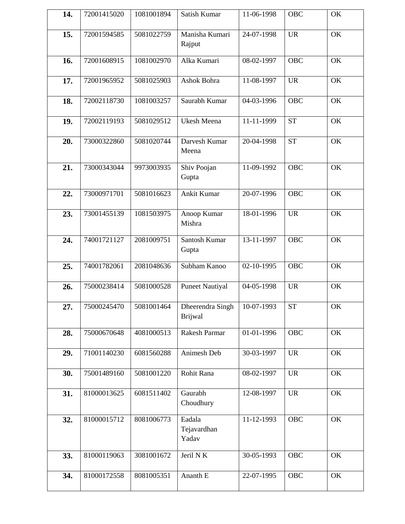| 14. | 72001415020 | 1081001894 | Satish Kumar                       | 11-06-1998       | OBC        | OK |
|-----|-------------|------------|------------------------------------|------------------|------------|----|
| 15. | 72001594585 | 5081022759 | Manisha Kumari<br>Rajput           | 24-07-1998       | <b>UR</b>  | OK |
| 16. | 72001608915 | 1081002970 | Alka Kumari                        | 08-02-1997       | <b>OBC</b> | OK |
| 17. | 72001965952 | 5081025903 | Ashok Bohra                        | 11-08-1997       | <b>UR</b>  | OK |
| 18. | 72002118730 | 1081003257 | Saurabh Kumar                      | 04-03-1996       | <b>OBC</b> | OK |
| 19. | 72002119193 | 5081029512 | Ukesh Meena                        | 11-11-1999       | <b>ST</b>  | OK |
| 20. | 73000322860 | 5081020744 | Darvesh Kumar<br>Meena             | 20-04-1998       | <b>ST</b>  | OK |
| 21. | 73000343044 | 9973003935 | Shiv Poojan<br>Gupta               | 11-09-1992       | <b>OBC</b> | OK |
| 22. | 73000971701 | 5081016623 | Ankit Kumar                        | 20-07-1996       | <b>OBC</b> | OK |
| 23. | 73001455139 | 1081503975 | Anoop Kumar<br>Mishra              | 18-01-1996       | <b>UR</b>  | OK |
| 24. | 74001721127 | 2081009751 | Santosh Kumar<br>Gupta             | $13 - 11 - 1997$ | <b>OBC</b> | OK |
| 25. | 74001782061 | 2081048636 | Subham Kanoo                       | 02-10-1995       | <b>OBC</b> | OK |
| 26. | 75000238414 | 5081000528 | <b>Puneet Nautiyal</b>             | 04-05-1998       | <b>UR</b>  | OK |
| 27. | 75000245470 | 5081001464 | Dheerendra Singh<br><b>Brijwal</b> | 10-07-1993       | <b>ST</b>  | OK |
| 28. | 75000670648 | 4081000513 | Rakesh Parmar                      | 01-01-1996       | <b>OBC</b> | OK |
| 29. | 71001140230 | 6081560288 | Animesh Deb                        | 30-03-1997       | <b>UR</b>  | OK |
| 30. | 75001489160 | 5081001220 | Rohit Rana                         | 08-02-1997       | <b>UR</b>  | OK |
| 31. | 81000013625 | 6081511402 | Gaurabh<br>Choudhury               | 12-08-1997       | <b>UR</b>  | OK |
| 32. | 81000015712 | 8081006773 | Eadala<br>Tejavardhan<br>Yadav     | 11-12-1993       | <b>OBC</b> | OK |
| 33. | 81000119063 | 3081001672 | Jeril N $\overline{K}$             | $30-05-1993$     | <b>OBC</b> | OK |
| 34. | 81000172558 | 8081005351 | Ananth E                           | 22-07-1995       | OBC        | OK |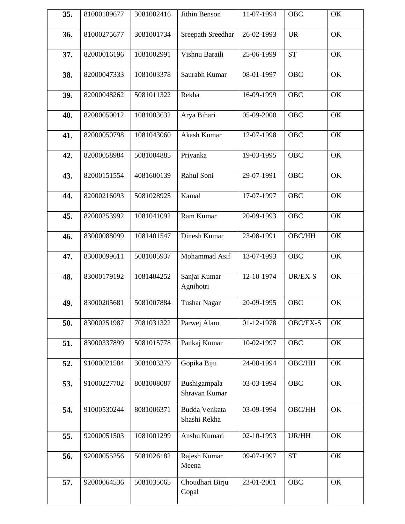| 35. | 81000189677 | 3081002416 | Jithin Benson                 | 11-07-1994 | OBC        | OK |
|-----|-------------|------------|-------------------------------|------------|------------|----|
| 36. | 81000275677 | 3081001734 | Sreepath Sreedhar             | 26-02-1993 | <b>UR</b>  | OK |
| 37. | 82000016196 | 1081002991 | Vishnu Baraili                | 25-06-1999 | <b>ST</b>  | OK |
| 38. | 82000047333 | 1081003378 | Saurabh Kumar                 | 08-01-1997 | <b>OBC</b> | OK |
| 39. | 82000048262 | 5081011322 | Rekha                         | 16-09-1999 | <b>OBC</b> | OK |
| 40. | 82000050012 | 1081003632 | Arya Bihari                   | 05-09-2000 | <b>OBC</b> | OK |
| 41. | 82000050798 | 1081043060 | Akash Kumar                   | 12-07-1998 | <b>OBC</b> | OK |
| 42. | 82000058984 | 5081004885 | Priyanka                      | 19-03-1995 | <b>OBC</b> | OK |
| 43. | 82000151554 | 4081600139 | Rahul Soni                    | 29-07-1991 | <b>OBC</b> | OK |
| 44. | 82000216093 | 5081028925 | Kamal                         | 17-07-1997 | <b>OBC</b> | OK |
| 45. | 82000253992 | 1081041092 | Ram Kumar                     | 20-09-1993 | <b>OBC</b> | OK |
| 46. | 83000088099 | 1081401547 | Dinesh Kumar                  | 23-08-1991 | OBC/HH     | OK |
| 47. | 83000099611 | 5081005937 | Mohammad Asif                 | 13-07-1993 | <b>OBC</b> | OK |
| 48. | 83000179192 | 1081404252 | Sanjai Kumar<br>Agnihotri     | 12-10-1974 | $UR/EX-S$  | OK |
| 49. | 83000205681 | 5081007884 | <b>Tushar Nagar</b>           | 20-09-1995 | <b>OBC</b> | OK |
| 50. | 83000251987 | 7081031322 | Parwej Alam                   | 01-12-1978 | OBC/EX-S   | OK |
| 51. | 83000337899 | 5081015778 | Pankaj Kumar                  | 10-02-1997 | <b>OBC</b> | OK |
| 52. | 91000021584 | 3081003379 | Gopika Biju                   | 24-08-1994 | OBC/HH     | OK |
| 53. | 91000227702 | 8081008087 | Bushigampala<br>Shravan Kumar | 03-03-1994 | <b>OBC</b> | OK |
| 54. | 91000530244 | 8081006371 | Budda Venkata<br>Shashi Rekha | 03-09-1994 | OBC/HH     | OK |
| 55. | 92000051503 | 1081001299 | Anshu Kumari                  | 02-10-1993 | UR/HH      | OK |
| 56. | 92000055256 | 5081026182 | Rajesh Kumar<br>Meena         | 09-07-1997 | <b>ST</b>  | OK |
| 57. | 92000064536 | 5081035065 | Choudhari Birju<br>Gopal      | 23-01-2001 | <b>OBC</b> | OK |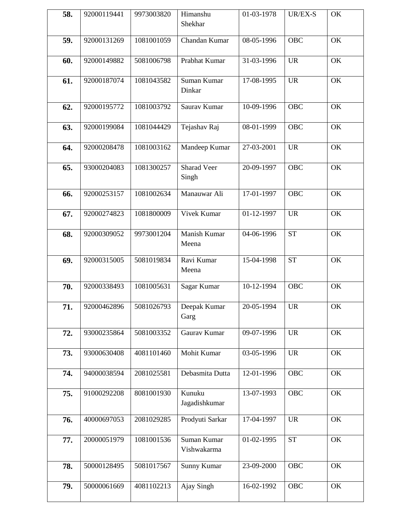| 58. | 92000119441 | 9973003820 | Himanshu<br>Shekhar         | 01-03-1978 | UR/EX-S    | OK |
|-----|-------------|------------|-----------------------------|------------|------------|----|
| 59. | 92000131269 | 1081001059 | Chandan Kumar               | 08-05-1996 | <b>OBC</b> | OK |
| 60. | 92000149882 | 5081006798 | Prabhat Kumar               | 31-03-1996 | <b>UR</b>  | OK |
| 61. | 92000187074 | 1081043582 | Suman Kumar<br>Dinkar       | 17-08-1995 | <b>UR</b>  | OK |
| 62. | 92000195772 | 1081003792 | Saurav Kumar                | 10-09-1996 | <b>OBC</b> | OK |
| 63. | 92000199084 | 1081044429 | Tejashav Raj                | 08-01-1999 | <b>OBC</b> | OK |
| 64. | 92000208478 | 1081003162 | Mandeep Kumar               | 27-03-2001 | <b>UR</b>  | OK |
| 65. | 93000204083 | 1081300257 | <b>Sharad Veer</b><br>Singh | 20-09-1997 | <b>OBC</b> | OK |
| 66. | 92000253157 | 1081002634 | Manauwar Ali                | 17-01-1997 | <b>OBC</b> | OK |
| 67. | 92000274823 | 1081800009 | Vivek Kumar                 | 01-12-1997 | <b>UR</b>  | OK |
| 68. | 92000309052 | 9973001204 | Manish Kumar<br>Meena       | 04-06-1996 | <b>ST</b>  | OK |
| 69. | 92000315005 | 5081019834 | Ravi Kumar<br>Meena         | 15-04-1998 | <b>ST</b>  | OK |
| 70. | 92000338493 | 1081005631 | Sagar Kumar                 | 10-12-1994 | <b>OBC</b> | OK |
| 71. | 92000462896 | 5081026793 | Deepak Kumar<br>Garg        | 20-05-1994 | <b>UR</b>  | OK |
| 72. | 93000235864 | 5081003352 | Gaurav Kumar                | 09-07-1996 | <b>UR</b>  | OK |
| 73. | 93000630408 | 4081101460 | Mohit Kumar                 | 03-05-1996 | <b>UR</b>  | OK |
| 74. | 94000038594 | 2081025581 | Debasmita Dutta             | 12-01-1996 | <b>OBC</b> | OK |
| 75. | 91000292208 | 8081001930 | Kunuku<br>Jagadishkumar     | 13-07-1993 | <b>OBC</b> | OK |
| 76. | 40000697053 | 2081029285 | Prodyuti Sarkar             | 17-04-1997 | <b>UR</b>  | OK |
| 77. | 20000051979 | 1081001536 | Suman Kumar<br>Vishwakarma  | 01-02-1995 | <b>ST</b>  | OK |
| 78. | 50000128495 | 5081017567 | Sunny Kumar                 | 23-09-2000 | <b>OBC</b> | OK |
| 79. | 50000061669 | 4081102213 | Ajay Singh                  | 16-02-1992 | <b>OBC</b> | OK |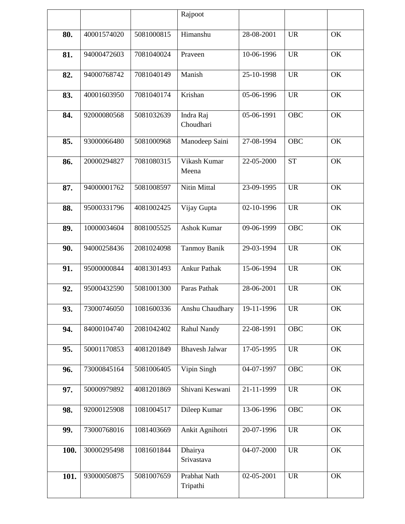|      |             |            | Rajpoot                  |            |            |    |
|------|-------------|------------|--------------------------|------------|------------|----|
| 80.  | 40001574020 | 5081000815 | Himanshu                 | 28-08-2001 | <b>UR</b>  | OK |
|      |             |            |                          |            |            |    |
| 81.  | 94000472603 | 7081040024 | Praveen                  | 10-06-1996 | <b>UR</b>  | OK |
| 82.  | 94000768742 | 7081040149 | Manish                   | 25-10-1998 | <b>UR</b>  | OK |
| 83.  | 40001603950 | 7081040174 | Krishan                  | 05-06-1996 | <b>UR</b>  | OK |
| 84.  | 92000080568 | 5081032639 | Indra Raj<br>Choudhari   | 05-06-1991 | <b>OBC</b> | OK |
| 85.  | 93000066480 | 5081000968 | Manodeep Saini           | 27-08-1994 | <b>OBC</b> | OK |
| 86.  | 20000294827 | 7081080315 | Vikash Kumar<br>Meena    | 22-05-2000 | <b>ST</b>  | OK |
| 87.  | 94000001762 | 5081008597 | Nitin Mittal             | 23-09-1995 | <b>UR</b>  | OK |
| 88.  | 95000331796 | 4081002425 | Vijay Gupta              | 02-10-1996 | <b>UR</b>  | OK |
| 89.  | 10000034604 | 8081005525 | <b>Ashok Kumar</b>       | 09-06-1999 | OBC        | OK |
| 90.  | 94000258436 | 2081024098 | <b>Tanmoy Banik</b>      | 29-03-1994 | <b>UR</b>  | OK |
| 91.  | 95000000844 | 4081301493 | <b>Ankur Pathak</b>      | 15-06-1994 | <b>UR</b>  | OK |
| 92.  | 95000432590 | 5081001300 | Paras Pathak             | 28-06-2001 | <b>UR</b>  | OK |
| 93.  | 73000746050 | 1081600336 | Anshu Chaudhary          | 19-11-1996 | <b>UR</b>  | OK |
| 94.  | 84000104740 | 2081042402 | Rahul Nandy              | 22-08-1991 | <b>OBC</b> | OK |
| 95.  | 50001170853 | 4081201849 | <b>Bhavesh Jalwar</b>    | 17-05-1995 | <b>UR</b>  | OK |
| 96.  | 73000845164 | 5081006405 | Vipin Singh              | 04-07-1997 | <b>OBC</b> | OK |
| 97.  | 50000979892 | 4081201869 | Shivani Keswani          | 21-11-1999 | <b>UR</b>  | OK |
| 98.  | 92000125908 | 1081004517 | Dileep Kumar             | 13-06-1996 | <b>OBC</b> | OK |
| 99.  | 73000768016 | 1081403669 | Ankit Agnihotri          | 20-07-1996 | <b>UR</b>  | OK |
| 100. | 30000295498 | 1081601844 | Dhairya<br>Srivastava    | 04-07-2000 | <b>UR</b>  | OK |
| 101. | 93000050875 | 5081007659 | Prabhat Nath<br>Tripathi | 02-05-2001 | <b>UR</b>  | OK |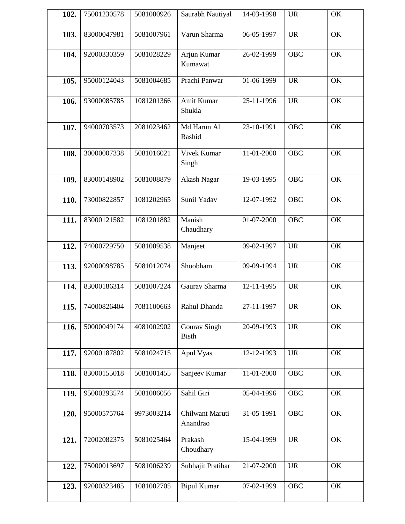| 102. | 75001230578 | 5081000926 | Saurabh Nautiyal             | 14-03-1998 | <b>UR</b>  | OK |
|------|-------------|------------|------------------------------|------------|------------|----|
| 103. | 83000047981 | 5081007961 | Varun Sharma                 | 06-05-1997 | <b>UR</b>  | OK |
| 104. | 92000330359 | 5081028229 | Arjun Kumar<br>Kumawat       | 26-02-1999 | <b>OBC</b> | OK |
| 105. | 95000124043 | 5081004685 | Prachi Panwar                | 01-06-1999 | <b>UR</b>  | OK |
| 106. | 93000085785 | 1081201366 | Amit Kumar<br>Shukla         | 25-11-1996 | <b>UR</b>  | OK |
| 107. | 94000703573 | 2081023462 | Md Harun Al<br>Rashid        | 23-10-1991 | <b>OBC</b> | OK |
| 108. | 30000007338 | 5081016021 | Vivek Kumar<br>Singh         | 11-01-2000 | <b>OBC</b> | OK |
| 109. | 83000148902 | 5081008879 | Akash Nagar                  | 19-03-1995 | <b>OBC</b> | OK |
| 110. | 73000822857 | 1081202965 | Sunil Yadav                  | 12-07-1992 | <b>OBC</b> | OK |
| 111. | 83000121582 | 1081201882 | Manish<br>Chaudhary          | 01-07-2000 | <b>OBC</b> | OK |
| 112. | 74000729750 | 5081009538 | Manjeet                      | 09-02-1997 | <b>UR</b>  | OK |
| 113. | 92000098785 | 5081012074 | Shoobham                     | 09-09-1994 | <b>UR</b>  | OK |
| 114. | 83000186314 | 5081007224 | Gaurav Sharma                | 12-11-1995 | <b>UR</b>  | OK |
| 115. | 74000826404 | 7081100663 | Rahul Dhanda                 | 27-11-1997 | <b>UR</b>  | OK |
| 116. | 50000049174 | 4081002902 | Gourav Singh<br><b>Bisth</b> | 20-09-1993 | <b>UR</b>  | OK |
| 117. | 92000187802 | 5081024715 | Apul Vyas                    | 12-12-1993 | <b>UR</b>  | OK |
| 118. | 83000155018 | 5081001455 | Sanjeev Kumar                | 11-01-2000 | OBC        | OK |
| 119. | 95000293574 | 5081006056 | Sahil Giri                   | 05-04-1996 | <b>OBC</b> | OK |
| 120. | 95000575764 | 9973003214 | Chilwant Maruti<br>Anandrao  | 31-05-1991 | <b>OBC</b> | OK |
| 121. | 72002082375 | 5081025464 | Prakash<br>Choudhary         | 15-04-1999 | <b>UR</b>  | OK |
| 122. | 75000013697 | 5081006239 | Subhajit Pratihar            | 21-07-2000 | <b>UR</b>  | OK |
| 123. | 92000323485 | 1081002705 | <b>Bipul Kumar</b>           | 07-02-1999 | <b>OBC</b> | OK |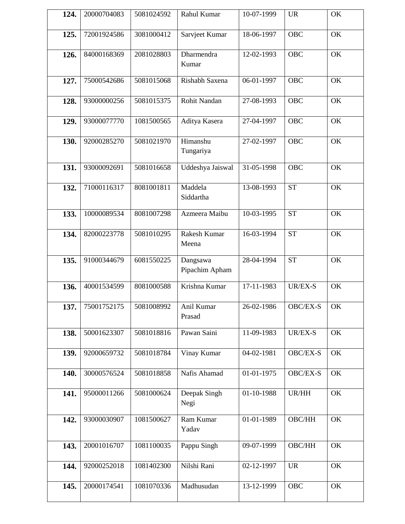| 124. | 20000704083 | 5081024592 | Rahul Kumar                | 10-07-1999 | <b>UR</b>  | OK |
|------|-------------|------------|----------------------------|------------|------------|----|
| 125. | 72001924586 | 3081000412 | Sarvjeet Kumar             | 18-06-1997 | <b>OBC</b> | OK |
| 126. | 84000168369 | 2081028803 | Dharmendra<br>Kumar        | 12-02-1993 | <b>OBC</b> | OK |
| 127. | 75000542686 | 5081015068 | Rishabh Saxena             | 06-01-1997 | <b>OBC</b> | OK |
| 128. | 93000000256 | 5081015375 | Rohit Nandan               | 27-08-1993 | <b>OBC</b> | OK |
| 129. | 93000077770 | 1081500565 | Aditya Kasera              | 27-04-1997 | <b>OBC</b> | OK |
| 130. | 92000285270 | 5081021970 | Himanshu<br>Tungariya      | 27-02-1997 | <b>OBC</b> | OK |
| 131. | 93000092691 | 5081016658 | Uddeshya Jaiswal           | 31-05-1998 | <b>OBC</b> | OK |
| 132. | 71000116317 | 8081001811 | Maddela<br>Siddartha       | 13-08-1993 | <b>ST</b>  | OK |
| 133. | 10000089534 | 8081007298 | Azmeera Maibu              | 10-03-1995 | <b>ST</b>  | OK |
| 134. | 82000223778 | 5081010295 | Rakesh Kumar<br>Meena      | 16-03-1994 | <b>ST</b>  | OK |
| 135. | 91000344679 | 6081550225 | Dangsawa<br>Pipachim Apham | 28-04-1994 | <b>ST</b>  | OK |
| 136. | 40001534599 | 8081000588 | Krishna Kumar              | 17-11-1983 | UR/EX-S    | OK |
| 137. | 75001752175 | 5081008992 | Anil Kumar<br>Prasad       | 26-02-1986 | OBC/EX-S   | OK |
| 138. | 50001623307 | 5081018816 | Pawan Saini                | 11-09-1983 | UR/EX-S    | OK |
| 139. | 92000659732 | 5081018784 | Vinay Kumar                | 04-02-1981 | OBC/EX-S   | OK |
| 140. | 30000576524 | 5081018858 | Nafis Ahamad               | 01-01-1975 | OBC/EX-S   | OK |
| 141. | 95000011266 | 5081000624 | Deepak Singh<br>Negi       | 01-10-1988 | UR/HH      | OK |
| 142. | 93000030907 | 1081500627 | Ram Kumar<br>Yadav         | 01-01-1989 | OBC/HH     | OK |
| 143. | 20001016707 | 1081100035 | Pappu Singh                | 09-07-1999 | OBC/HH     | OK |
| 144. | 92000252018 | 1081402300 | Nilshi Rani                | 02-12-1997 | <b>UR</b>  | OK |
| 145. | 20000174541 | 1081070336 | Madhusudan                 | 13-12-1999 | <b>OBC</b> | OK |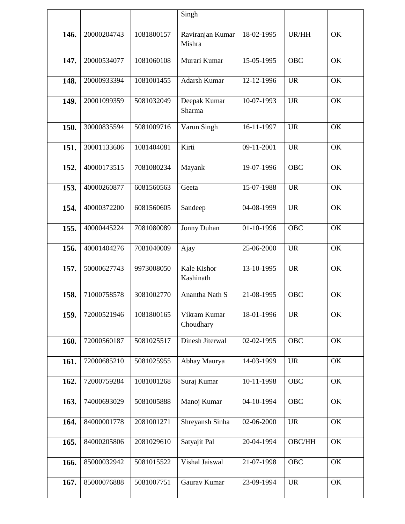|      |             |            | Singh                         |            |            |    |
|------|-------------|------------|-------------------------------|------------|------------|----|
| 146. | 20000204743 | 1081800157 | Raviranjan Kumar<br>Mishra    | 18-02-1995 | UR/HH      | OK |
| 147. | 20000534077 | 1081060108 | Murari Kumar                  | 15-05-1995 | <b>OBC</b> | OK |
| 148. | 20000933394 | 1081001455 | Adarsh Kumar                  | 12-12-1996 | <b>UR</b>  | OK |
| 149. | 20001099359 | 5081032049 | Deepak Kumar<br><b>Sharma</b> | 10-07-1993 | <b>UR</b>  | OK |
| 150. | 30000835594 | 5081009716 | Varun Singh                   | 16-11-1997 | <b>UR</b>  | OK |
| 151. | 30001133606 | 1081404081 | Kirti                         | 09-11-2001 | <b>UR</b>  | OK |
| 152. | 40000173515 | 7081080234 | Mayank                        | 19-07-1996 | <b>OBC</b> | OK |
| 153. | 40000260877 | 6081560563 | Geeta                         | 15-07-1988 | <b>UR</b>  | OK |
| 154. | 40000372200 | 6081560605 | Sandeep                       | 04-08-1999 | <b>UR</b>  | OK |
| 155. | 40000445224 | 7081080089 | Jonny Duhan                   | 01-10-1996 | <b>OBC</b> | OK |
| 156. | 40001404276 | 7081040009 | Ajay                          | 25-06-2000 | <b>UR</b>  | OK |
| 157. | 50000627743 | 9973008050 | Kale Kishor<br>Kashinath      | 13-10-1995 | <b>UR</b>  | OK |
| 158. | 71000758578 | 3081002770 | Anantha Nath S                | 21-08-1995 | <b>OBC</b> | OK |
| 159. | 72000521946 | 1081800165 | Vikram Kumar<br>Choudhary     | 18-01-1996 | <b>UR</b>  | OK |
| 160. | 72000560187 | 5081025517 | Dinesh Jiterwal               | 02-02-1995 | <b>OBC</b> | OK |
| 161. | 72000685210 | 5081025955 | Abhay Maurya                  | 14-03-1999 | <b>UR</b>  | OK |
| 162. | 72000759284 | 1081001268 | Suraj Kumar                   | 10-11-1998 | <b>OBC</b> | OK |
| 163. | 74000693029 | 5081005888 | Manoj Kumar                   | 04-10-1994 | <b>OBC</b> | OK |
| 164. | 84000001778 | 2081001271 | Shreyansh Sinha               | 02-06-2000 | <b>UR</b>  | OK |
| 165. | 84000205806 | 2081029610 | Satyajit Pal                  | 20-04-1994 | OBC/HH     | OK |
| 166. | 85000032942 | 5081015522 | Vishal Jaiswal                | 21-07-1998 | <b>OBC</b> | OK |
| 167. | 85000076888 | 5081007751 | Gaurav Kumar                  | 23-09-1994 | <b>UR</b>  | OK |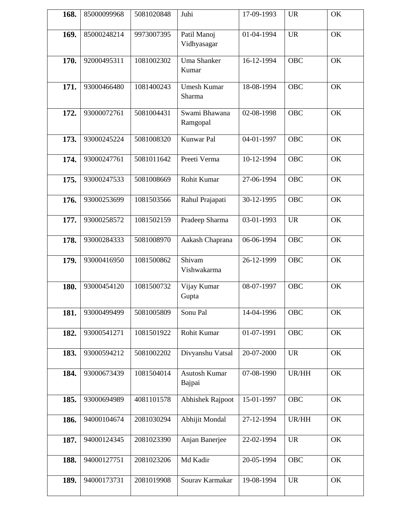| 168. | 85000099968 | 5081020848 | Juhi                         | 17-09-1993 | <b>UR</b>  | OK |
|------|-------------|------------|------------------------------|------------|------------|----|
| 169. | 85000248214 | 9973007395 | Patil Manoj<br>Vidhyasagar   | 01-04-1994 | <b>UR</b>  | OK |
| 170. | 92000495311 | 1081002302 | <b>Uma Shanker</b><br>Kumar  | 16-12-1994 | <b>OBC</b> | OK |
| 171. | 93000466480 | 1081400243 | <b>Umesh Kumar</b><br>Sharma | 18-08-1994 | <b>OBC</b> | OK |
| 172. | 93000072761 | 5081004431 | Swami Bhawana<br>Ramgopal    | 02-08-1998 | <b>OBC</b> | OK |
| 173. | 93000245224 | 5081008320 | Kunwar Pal                   | 04-01-1997 | <b>OBC</b> | OK |
| 174. | 93000247761 | 5081011642 | Preeti Verma                 | 10-12-1994 | <b>OBC</b> | OK |
| 175. | 93000247533 | 5081008669 | Rohit Kumar                  | 27-06-1994 | <b>OBC</b> | OK |
| 176. | 93000253699 | 1081503566 | Rahul Prajapati              | 30-12-1995 | <b>OBC</b> | OK |
| 177. | 93000258572 | 1081502159 | Pradeep Sharma               | 03-01-1993 | <b>UR</b>  | OK |
| 178. | 93000284333 | 5081008970 | Aakash Chaprana              | 06-06-1994 | <b>OBC</b> | OK |
| 179. | 93000416950 | 1081500862 | Shivam<br>Vishwakarma        | 26-12-1999 | <b>OBC</b> | OK |
| 180. | 93000454120 | 1081500732 | Vijay Kumar<br>Gupta         | 08-07-1997 | <b>OBC</b> | OK |
| 181. | 93000499499 | 5081005809 | Sonu Pal                     | 14-04-1996 | OBC        | OK |
| 182. | 93000541271 | 1081501922 | Rohit Kumar                  | 01-07-1991 | <b>OBC</b> | OK |
| 183. | 93000594212 | 5081002202 | Divyanshu Vatsal             | 20-07-2000 | <b>UR</b>  | OK |
| 184. | 93000673439 | 1081504014 | Asutosh Kumar<br>Bajpai      | 07-08-1990 | UR/HH      | OK |
| 185. | 93000694989 | 4081101578 | <b>Abhishek Rajpoot</b>      | 15-01-1997 | <b>OBC</b> | OK |
| 186. | 94000104674 | 2081030294 | Abhijit Mondal               | 27-12-1994 | UR/HH      | OK |
| 187. | 94000124345 | 2081023390 | Anjan Banerjee               | 22-02-1994 | <b>UR</b>  | OK |
| 188. | 94000127751 | 2081023206 | Md Kadir                     | 20-05-1994 | OBC        | OK |
| 189. | 94000173731 | 2081019908 | Sourav Karmakar              | 19-08-1994 | <b>UR</b>  | OK |